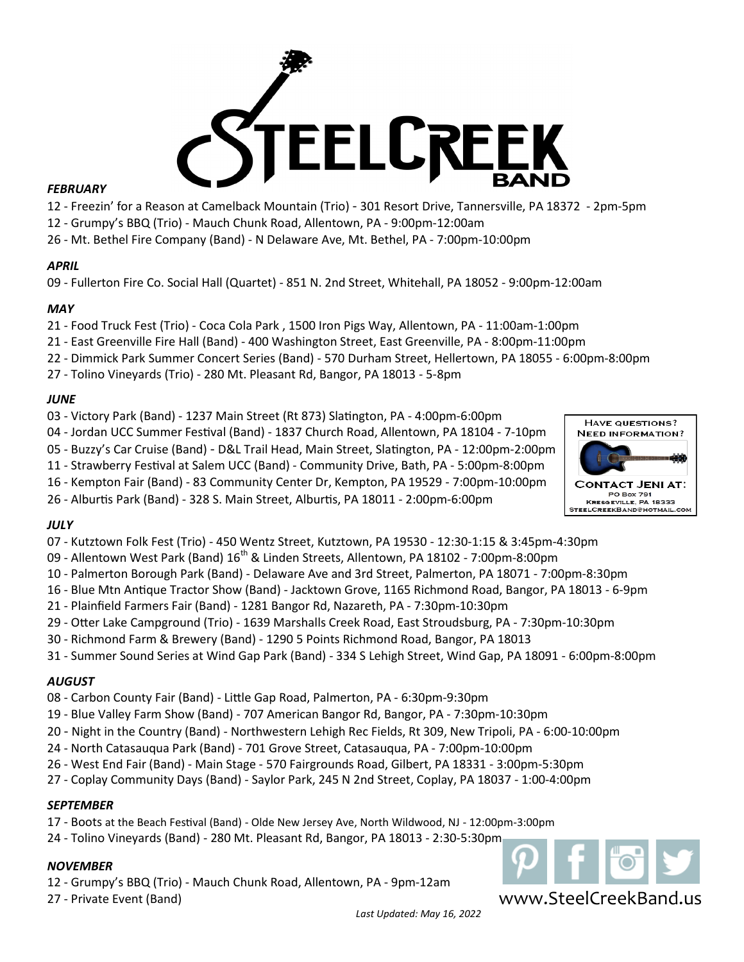

## *FEBRUARY*

- Freezin' for a Reason at Camelback Mountain (Trio) - 301 Resort Drive, Tannersville, PA 18372 - 2pm-5pm

- Grumpy's BBQ (Trio) - Mauch Chunk Road, Allentown, PA - 9:00pm-12:00am

- Mt. Bethel Fire Company (Band) - N Delaware Ave, Mt. Bethel, PA - 7:00pm-10:00pm

# *APRIL*

- Fullerton Fire Co. Social Hall (Quartet) - 851 N. 2nd Street, Whitehall, PA 18052 - 9:00pm-12:00am

# *MAY*

- Food Truck Fest (Trio) - Coca Cola Park , 1500 Iron Pigs Way, Allentown, PA - 11:00am-1:00pm

- East Greenville Fire Hall (Band) 400 Washington Street, East Greenville, PA 8:00pm-11:00pm
- Dimmick Park Summer Concert Series (Band) 570 Durham Street, Hellertown, PA 18055 6:00pm-8:00pm
- Tolino Vineyards (Trio) 280 Mt. Pleasant Rd, Bangor, PA 18013 5-8pm

# *JUNE*

- Victory Park (Band) 1237 Main Street (Rt 873) Slatington, PA 4:00pm-6:00pm
- Jordan UCC Summer Festival (Band) 1837 Church Road, Allentown, PA 18104 7-10pm
- Buzzy's Car Cruise (Band) D&L Trail Head, Main Street, Slatington, PA 12:00pm-2:00pm
- Strawberry Festival at Salem UCC (Band) Community Drive, Bath, PA 5:00pm-8:00pm
- Kempton Fair (Band) 83 Community Center Dr, Kempton, PA 19529 7:00pm-10:00pm
- Alburtis Park (Band) 328 S. Main Street, Alburtis, PA 18011 2:00pm-6:00pm

# *JULY*

- Kutztown Folk Fest (Trio) 450 Wentz Street, Kutztown, PA 19530 12:30-1:15 & 3:45pm-4:30pm
- 09 Allentown West Park (Band) 16<sup>th</sup> & Linden Streets, Allentown, PA 18102 7:00pm-8:00pm
- Palmerton Borough Park (Band) Delaware Ave and 3rd Street, Palmerton, PA 18071 7:00pm-8:30pm
- Blue Mtn Antique Tractor Show (Band) Jacktown Grove, 1165 Richmond Road, Bangor, PA 18013 6-9pm
- Plainfield Farmers Fair (Band) 1281 Bangor Rd, Nazareth, PA 7:30pm-10:30pm
- Otter Lake Campground (Trio) 1639 Marshalls Creek Road, East Stroudsburg, PA 7:30pm-10:30pm
- Richmond Farm & Brewery (Band) 1290 5 Points Richmond Road, Bangor, PA 18013
- Summer Sound Series at Wind Gap Park (Band) 334 S Lehigh Street, Wind Gap, PA 18091 6:00pm-8:00pm

# *AUGUST*

- Carbon County Fair (Band) Little Gap Road, Palmerton, PA 6:30pm-9:30pm
- Blue Valley Farm Show (Band) 707 American Bangor Rd, Bangor, PA 7:30pm-10:30pm
- Night in the Country (Band) Northwestern Lehigh Rec Fields, Rt 309, New Tripoli, PA 6:00-10:00pm
- North Catasauqua Park (Band) 701 Grove Street, Catasauqua, PA 7:00pm-10:00pm
- West End Fair (Band) Main Stage 570 Fairgrounds Road, Gilbert, PA 18331 3:00pm-5:30pm
- Coplay Community Days (Band) Saylor Park, 245 N 2nd Street, Coplay, PA 18037 1:00-4:00pm

# *SEPTEMBER*

- Boots at the Beach Festival (Band) Olde New Jersey Ave, North Wildwood, NJ 12:00pm-3:00pm
- Tolino Vineyards (Band) 280 Mt. Pleasant Rd, Bangor, PA 18013 2:30-5:30pm

# *NOVEMBER*

- Grumpy's BBQ (Trio) - Mauch Chunk Road, Allentown, PA - 9pm-12am

- Private Event (Band)